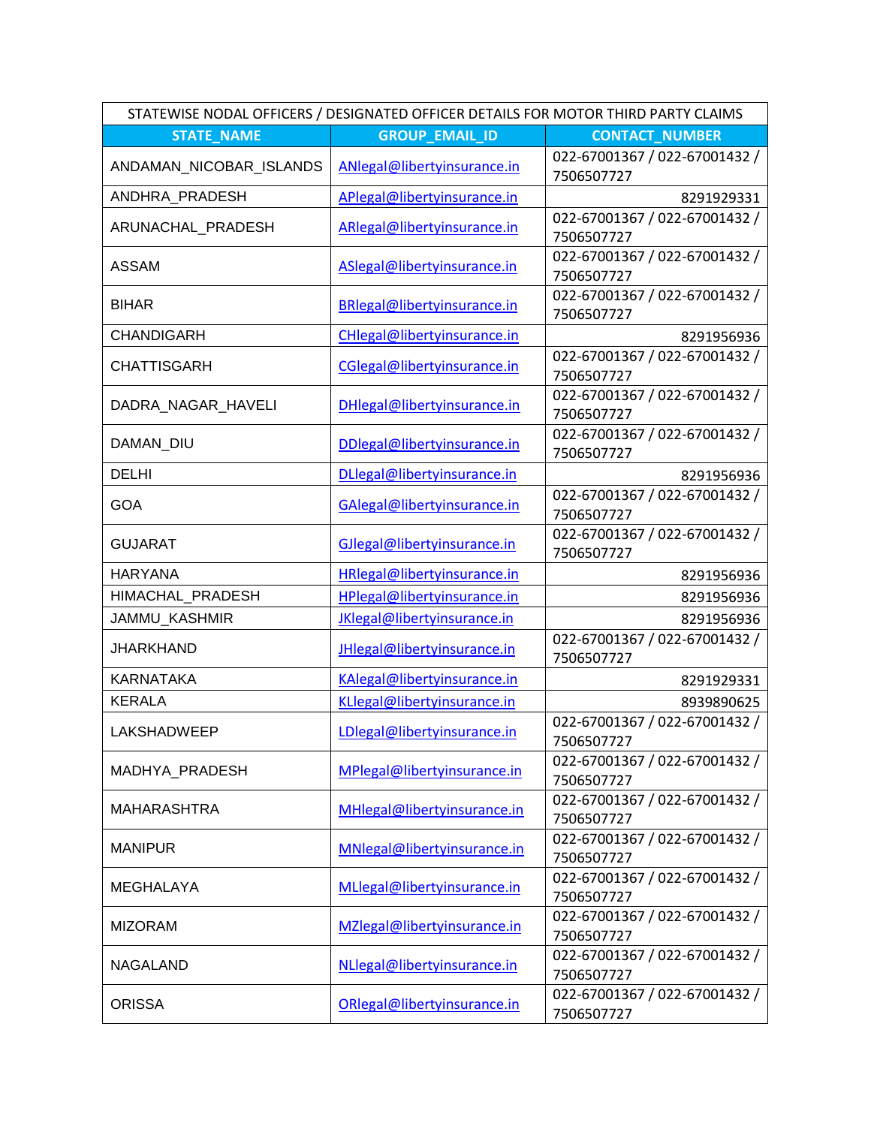| STATEWISE NODAL OFFICERS / DESIGNATED OFFICER DETAILS FOR MOTOR THIRD PARTY CLAIMS |                                    |                                             |  |
|------------------------------------------------------------------------------------|------------------------------------|---------------------------------------------|--|
| <b>STATE NAME</b>                                                                  | <b>GROUP EMAIL ID</b>              | <b>CONTACT NUMBER</b>                       |  |
| ANDAMAN_NICOBAR_ISLANDS                                                            | ANlegal@libertyinsurance.in        | 022-67001367 / 022-67001432 /<br>7506507727 |  |
| ANDHRA_PRADESH                                                                     | APlegal@libertyinsurance.in        | 8291929331                                  |  |
| ARUNACHAL_PRADESH                                                                  | ARlegal@libertyinsurance.in        | 022-67001367 / 022-67001432 /<br>7506507727 |  |
| <b>ASSAM</b>                                                                       | ASlegal@libertyinsurance.in        | 022-67001367 / 022-67001432 /<br>7506507727 |  |
| <b>BIHAR</b>                                                                       | <b>BRlegal@libertyinsurance.in</b> | 022-67001367 / 022-67001432 /<br>7506507727 |  |
| <b>CHANDIGARH</b>                                                                  | CHlegal@libertyinsurance.in        | 8291956936                                  |  |
| <b>CHATTISGARH</b>                                                                 | CGlegal@libertyinsurance.in        | 022-67001367 / 022-67001432 /<br>7506507727 |  |
| DADRA_NAGAR_HAVELI                                                                 | DHlegal@libertyinsurance.in        | 022-67001367 / 022-67001432 /<br>7506507727 |  |
| DAMAN_DIU                                                                          | DDlegal@libertyinsurance.in        | 022-67001367 / 022-67001432 /<br>7506507727 |  |
| <b>DELHI</b>                                                                       | DLlegal@libertyinsurance.in        | 8291956936                                  |  |
| <b>GOA</b>                                                                         | GAlegal@libertyinsurance.in        | 022-67001367 / 022-67001432 /<br>7506507727 |  |
| <b>GUJARAT</b>                                                                     | GJlegal@libertyinsurance.in        | 022-67001367 / 022-67001432 /<br>7506507727 |  |
| <b>HARYANA</b>                                                                     | HRlegal@libertyinsurance.in        | 8291956936                                  |  |
| HIMACHAL_PRADESH                                                                   | HPlegal@libertyinsurance.in        | 8291956936                                  |  |
| JAMMU_KASHMIR                                                                      | JKlegal@libertyinsurance.in        | 8291956936                                  |  |
| <b>JHARKHAND</b>                                                                   | JHlegal@libertyinsurance.in        | 022-67001367 / 022-67001432 /<br>7506507727 |  |
| <b>KARNATAKA</b>                                                                   | KAlegal@libertyinsurance.in        | 8291929331                                  |  |
| <b>KERALA</b>                                                                      | KLlegal@libertyinsurance.in        | 8939890625                                  |  |
| LAKSHADWEEP                                                                        | LDlegal@libertyinsurance.in        | 022-67001367 / 022-67001432 /<br>7506507727 |  |
| MADHYA PRADESH                                                                     | MPlegal@libertyinsurance.in        | 022-67001367 / 022-67001432 /<br>7506507727 |  |
| <b>MAHARASHTRA</b>                                                                 | MHlegal@libertyinsurance.in        | 022-67001367 / 022-67001432 /<br>7506507727 |  |
| <b>MANIPUR</b>                                                                     | MNlegal@libertyinsurance.in        | 022-67001367 / 022-67001432 /<br>7506507727 |  |
| <b>MEGHALAYA</b>                                                                   | MLlegal@libertyinsurance.in        | 022-67001367 / 022-67001432 /<br>7506507727 |  |
| <b>MIZORAM</b>                                                                     | MZlegal@libertyinsurance.in        | 022-67001367 / 022-67001432 /<br>7506507727 |  |
| <b>NAGALAND</b>                                                                    | NLlegal@libertyinsurance.in        | 022-67001367 / 022-67001432 /<br>7506507727 |  |
| <b>ORISSA</b>                                                                      | ORlegal@libertyinsurance.in        | 022-67001367 / 022-67001432 /<br>7506507727 |  |